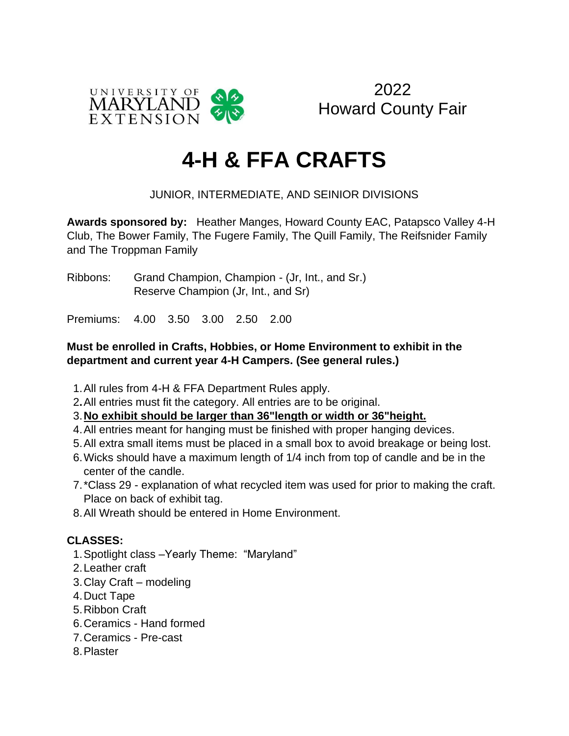

2022 Howard County Fair

# **4-H & FFA CRAFTS**

### JUNIOR, INTERMEDIATE, AND SEINIOR DIVISIONS

**Awards sponsored by:** Heather Manges, Howard County EAC, Patapsco Valley 4-H Club, The Bower Family, The Fugere Family, The Quill Family, The Reifsnider Family and The Troppman Family

Ribbons: Grand Champion, Champion - (Jr, Int., and Sr.) Reserve Champion (Jr, Int., and Sr)

Premiums: 4.00 3.50 3.00 2.50 2.00

#### **Must be enrolled in Crafts, Hobbies, or Home Environment to exhibit in the department and current year 4-H Campers. (See general rules.)**

- 1.All rules from 4-H & FFA Department Rules apply.
- 2**.**All entries must fit the category. All entries are to be original.

#### 3.**No exhibit should be larger than 36"length or width or 36"height.**

- 4.All entries meant for hanging must be finished with proper hanging devices.
- 5.All extra small items must be placed in a small box to avoid breakage or being lost.
- 6.Wicks should have a maximum length of 1/4 inch from top of candle and be in the center of the candle.
- 7.\*Class 29 explanation of what recycled item was used for prior to making the craft. Place on back of exhibit tag.
- 8.All Wreath should be entered in Home Environment.

#### **CLASSES:**

- 1.Spotlight class –Yearly Theme: "Maryland"
- 2.Leather craft
- 3.Clay Craft modeling
- 4.Duct Tape
- 5.Ribbon Craft
- 6.Ceramics Hand formed
- 7.Ceramics Pre-cast
- 8.Plaster